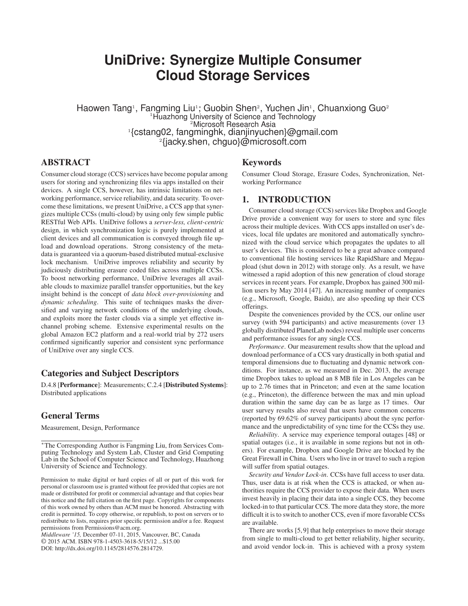# **UniDrive: Synergize Multiple Consumer Cloud Storage Services**

Haowen Tang<sup>1</sup>, Fangming Liu<sup>1</sup>; Guobin Shen<sup>2</sup>, Yuchen Jin<sup>1</sup>, Chuanxiong Guo<sup>2</sup> <sup>1</sup>Huazhong University of Science and Technology<br><sup>2</sup>Microsoft Research Asia<br>1{cstang02, fangminghk, dianjinyuchen}@gmail.com <sup>2</sup>{jacky.shen, chguo}@microsoft.com

## ABSTRACT

Consumer cloud storage (CCS) services have become popular among users for storing and synchronizing files via apps installed on their devices. A single CCS, however, has intrinsic limitations on networking performance, service reliability, and data security. To overcome these limitations, we present UniDrive, a CCS app that synergizes multiple CCSs (multi-cloud) by using only few simple public RESTful Web APIs. UniDrive follows a *server-less, client-centric* design, in which synchronization logic is purely implemented at client devices and all communication is conveyed through file upload and download operations. Strong consistency of the metadata is guaranteed via a quorum-based distributed mutual-exclusive lock mechanism. UniDrive improves reliability and security by judiciously distributing erasure coded files across multiple CCSs. To boost networking performance, UniDrive leverages all available clouds to maximize parallel transfer opportunities, but the key insight behind is the concept of *data block over-provisioning* and *dynamic scheduling*. This suite of techniques masks the diversified and varying network conditions of the underlying clouds, and exploits more the faster clouds via a simple yet effective inchannel probing scheme. Extensive experimental results on the global Amazon EC2 platform and a real-world trial by 272 users confirmed significantly superior and consistent sync performance of UniDrive over any single CCS.

#### Categories and Subject Descriptors

D.4.8 [Performance]: Measurements; C.2.4 [Distributed Systems]: Distributed applications

#### General Terms

Measurement, Design, Performance

*Middleware '15,* December 07-11, 2015, Vancouver, BC, Canada © 2015 ACM. ISBN 978-1-4503-3618-5/15/12 ...\$15.00

DOI: http://dx.doi.org/10.1145/2814576.2814729.

#### Keywords

Consumer Cloud Storage, Erasure Codes, Synchronization, Networking Performance

#### 1. INTRODUCTION

Consumer cloud storage (CCS) services like Dropbox and Google Drive provide a convenient way for users to store and sync files across their multiple devices. With CCS apps installed on user's devices, local file updates are monitored and automatically synchronized with the cloud service which propagates the updates to all user's devices. This is considered to be a great advance compared to conventional file hosting services like RapidShare and Megaupload (shut down in 2012) with storage only. As a result, we have witnessed a rapid adoption of this new generation of cloud storage services in recent years. For example, Dropbox has gained 300 million users by May 2014 [47]. An increasing number of companies (e.g., Microsoft, Google, Baidu), are also speeding up their CCS offerings.

Despite the conveniences provided by the CCS, our online user survey (with 594 participants) and active measurements (over 13 globally distributed PlanetLab nodes) reveal multiple user concerns and performance issues for any single CCS.

*Performance*. Our measurement results show that the upload and download performance of a CCS vary drastically in both spatial and temporal dimensions due to fluctuating and dynamic network conditions. For instance, as we measured in Dec. 2013, the average time Dropbox takes to upload an 8 MB file in Los Angeles can be up to 2.76 times that in Princeton; and even at the same location (e.g., Princeton), the difference between the max and min upload duration within the same day can be as large as 17 times. Our user survey results also reveal that users have common concerns (reported by 69.62% of survey participants) about the sync performance and the unpredictability of sync time for the CCSs they use.

*Reliability*. A service may experience temporal outages [48] or spatial outages (i.e., it is available in some regions but not in others). For example, Dropbox and Google Drive are blocked by the Great Firewall in China. Users who live in or travel to such a region will suffer from spatial outages.

*Security and Vendor Lock-in*. CCSs have full access to user data. Thus, user data is at risk when the CCS is attacked, or when authorities require the CCS provider to expose their data. When users invest heavily in placing their data into a single CCS, they become locked-in to that particular CCS. The more data they store, the more difficult it is to switch to another CCS, even if more favorable CCSs are available.

There are works [5, 9] that help enterprises to move their storage from single to multi-cloud to get better reliability, higher security, and avoid vendor lock-in. This is achieved with a proxy system

<sup>∗</sup>The Corresponding Author is Fangming Liu, from Services Computing Technology and System Lab, Cluster and Grid Computing Lab in the School of Computer Science and Technology, Huazhong University of Science and Technology.

Permission to make digital or hard copies of all or part of this work for personal or classroom use is granted without fee provided that copies are not made or distributed for profit or commercial advantage and that copies bear this notice and the full citation on the first page. Copyrights for components of this work owned by others than ACM must be honored. Abstracting with credit is permitted. To copy otherwise, or republish, to post on servers or to redistribute to lists, requires prior specific permission and/or a fee. Request permissions from Permissions@acm.org.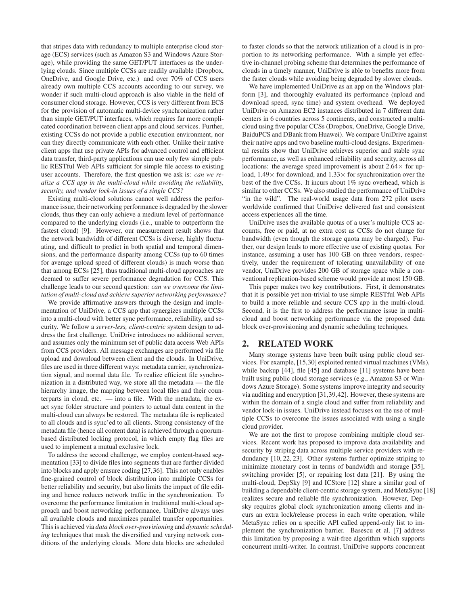that stripes data with redundancy to multiple enterprise cloud storage (ECS) services (such as Amazon S3 and Windows Azure Storage), while providing the same GET/PUT interfaces as the underlying clouds. Since multiple CCSs are readily available (Dropbox, OneDrive, and Google Drive, etc.) and over 70% of CCS users already own multiple CCS accounts according to our survey, we wonder if such multi-cloud approach is also viable in the field of consumer cloud storage. However, CCS is very different from ECS for the provision of automatic multi-device synchronization rather than simple GET/PUT interfaces, which requires far more complicated coordination between client apps and cloud services. Further, existing CCSs do not provide a public execution environment, nor can they directly communicate with each other. Unlike their native client apps that use private APIs for advanced control and efficient data transfer, third-party applications can use only few simple public RESTful Web APIs sufficient for simple file access to existing user accounts. Therefore, the first question we ask is: *can we realize a CCS app in the multi-cloud while avoiding the reliability, security, and vendor lock-in issues of a single CCS?*

Existing multi-cloud solutions cannot well address the performance issue, their networking performance is degraded by the slower clouds, thus they can only achieve a medium level of performance compared to the underlying clouds (i.e., unable to outperform the fastest cloud) [9]. However, our measurement result shows that the network bandwidth of different CCSs is diverse, highly fluctuating, and difficult to predict in both spatial and temporal dimensions, and the performance disparity among CCSs (up to 60 times for average upload speed of different clouds) is much worse than that among ECSs [25], thus traditional multi-cloud approaches are deemed to suffer severe performance degradation for CCS. This challenge leads to our second question: *can we overcome the limitation of multi-cloud and achieve superior networking performance?*

We provide affirmative answers through the design and implementation of UniDrive, a CCS app that synergizes multiple CCSs into a multi-cloud with better sync performance, reliability, and security. We follow a *server-less, client-centric* system design to address the first challenge. UniDrive introduces no additional server, and assumes only the minimum set of public data access Web APIs from CCS providers. All message exchanges are performed via file upload and download between client and the clouds. In UniDrive, files are used in three different ways: metadata carrier, synchronization signal, and normal data file. To realize efficient file synchronization in a distributed way, we store all the metadata — the file hierarchy image, the mapping between local files and their counterparts in cloud, etc. — into a file. With the metadata, the exact sync folder structure and pointers to actual data content in the multi-cloud can always be restored. The metadata file is replicated to all clouds and is sync'ed to all clients. Strong consistency of the metadata file (hence all content data) is achieved through a quorumbased distributed locking protocol, in which empty flag files are used to implement a mutual exclusive lock.

To address the second challenge, we employ content-based segmentation [33] to divide files into segments that are further divided into blocks and apply erasure coding [27,36]. This not only enables fine-grained control of block distribution into multiple CCSs for better reliability and security, but also limits the impact of file editing and hence reduces network traffic in the synchronization. To overcome the performance limitation in traditional multi-cloud approach and boost networking performance, UniDrive always uses all available clouds and maximizes parallel transfer opportunities. This is achieved via *data block over-provisioning* and *dynamic scheduling* techniques that mask the diversified and varying network conditions of the underlying clouds. More data blocks are scheduled

to faster clouds so that the network utilization of a cloud is in proportion to its networking performance. With a simple yet effective in-channel probing scheme that determines the performance of clouds in a timely manner, UniDrive is able to benefits more from the faster clouds while avoiding being degraded by slower clouds.

We have implemented UniDrive as an app on the Windows platform [3], and thoroughly evaluated its performance (upload and download speed, sync time) and system overhead. We deployed UniDrive on Amazon EC2 instances distributed in 7 different data centers in 6 countries across 5 continents, and constructed a multicloud using five popular CCSs (Dropbox, OneDrive, Google Drive, BaiduPCS and DBank from Huawei). We compare UniDrive against their native apps and two baseline multi-cloud designs. Experimental results show that UniDrive achieves superior and stable sync performance, as well as enhanced reliability and security, across all locations: the average speed improvement is about  $2.64 \times$  for upload,  $1.49 \times$  for download, and  $1.33 \times$  for synchronization over the best of the five CCSs. It incurs about 1% sync overhead, which is similar to other CCSs. We also studied the performance of UniDrive "in the wild". The real-world usage data from 272 pilot users worldwide confirmed that UniDrive delivered fast and consistent access experiences all the time.

UniDrive uses the available quotas of a user's multiple CCS accounts, free or paid, at no extra cost as CCSs do not charge for bandwidth (even though the storage quota may be charged). Further, our design leads to more effective use of existing quotas. For instance, assuming a user has 100 GB on three vendors, respectively, under the requirement of tolerating unavailability of one vendor, UniDrive provides 200 GB of storage space while a conventional replication-based scheme would provide at most 150 GB.

This paper makes two key contributions. First, it demonstrates that it is possible yet non-trivial to use simple RESTful Web APIs to build a more reliable and secure CCS app in the multi-cloud. Second, it is the first to address the performance issue in multicloud and boost networking performance via the proposed data block over-provisioning and dynamic scheduling techniques.

#### 2. RELATED WORK

Many storage systems have been built using public cloud services. For example, [15,30] exploited rented virtual machines (VMs), while backup [44], file [45] and database [11] systems have been built using public cloud storage services (e.g., Amazon S3 or Windows Azure Storage). Some systems improve integrity and security via auditing and encryption [31,39,42]. However, these systems are within the domain of a single cloud and suffer from reliability and vendor lock-in issues. UniDrive instead focuses on the use of multiple CCSs to overcome the issues associated with using a single cloud provider.

We are not the first to propose combining multiple cloud services. Recent work has proposed to improve data availability and security by striping data across multiple service providers with redundancy [10, 22, 23]. Other systems further optimize striping to minimize monetary cost in terms of bandwidth and storage [35], switching provider [5], or repairing lost data [21]. By using the multi-cloud, DepSky [9] and ICStore [12] share a similar goal of building a dependable client-centric storage system, and MetaSync [18] realizes secure and reliable file synchronization. However, Depsky requires global clock synchronization among clients and incurs an extra lock/release process in each write operation, while MetaSync relies on a specific API called append-only list to implement the synchronization barrier. Basescu et al. [7] address this limitation by proposing a wait-free algorithm which supports concurrent multi-writer. In contrast, UniDrive supports concurrent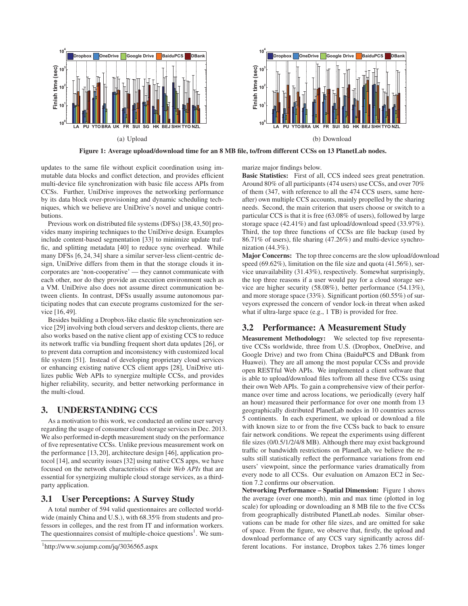

updates to the same file without explicit coordination using immutable data blocks and conflict detection, and provides efficient multi-device file synchronization with basic file access APIs from CCSs. Further, UniDrive improves the networking performance by its data block over-provisioning and dynamic scheduling techniques, which we believe are UniDrive's novel and unique contributions.

Previous work on distributed file systems (DFSs) [38,43,50] provides many inspiring techniques to the UniDrive design. Examples include content-based segmentation [33] to minimize update traffic, and splitting metadata [40] to reduce sync overhead. While many DFSs [6, 24, 34] share a similar server-less client-centric design, UniDrive differs from them in that the storage clouds it incorporates are 'non-cooperative' — they cannot communicate with each other, nor do they provide an execution environment such as a VM. UniDrive also does not assume direct communication between clients. In contrast, DFSs usually assume autonomous participating nodes that can execute programs customized for the service [16, 49].

Besides building a Dropbox-like elastic file synchronization service [29] involving both cloud servers and desktop clients, there are also works based on the native client app of existing CCS to reduce its network traffic via bundling frequent short data updates [26], or to prevent data corruption and inconsistency with customized local file system [51]. Instead of developing proprietary cloud services or enhancing existing native CCS client apps [28], UniDrive utilizes public Web APIs to synergize multiple CCSs, and provides higher reliability, security, and better networking performance in the multi-cloud.

# 3. UNDERSTANDING CCS

As a motivation to this work, we conducted an online user survey regarding the usage of consumer cloud storage services in Dec. 2013. We also performed in-depth measurement study on the performance of five representative CCSs. Unlike previous measurement work on the performance [13, 20], architecture design [46], application protocol [14], and security issues [32] using native CCS apps, we have focused on the network characteristics of their *Web APIs* that are essential for synergizing multiple cloud storage services, as a thirdparty application.

## 3.1 User Perceptions: A Survey Study

A total number of 594 valid questionnaires are collected worldwide (mainly China and U.S.), with 68.35% from students and professors in colleges, and the rest from IT and information workers. The questionnaires consist of multiple-choice questions<sup>1</sup>. We summarize major findings below.

Basic Statistics: First of all, CCS indeed sees great penetration. Around 80% of all participants (474 users) use CCSs, and over 70% of them (347, with reference to all the 474 CCS users, same hereafter) own multiple CCS accounts, mainly propelled by the sharing needs. Second, the main criterion that users choose or switch to a particular CCS is that it is free (63.08% of users), followed by large storage space (42.41%) and fast upload/download speed (33.97%). Third, the top three functions of CCSs are file backup (used by 86.71% of users), file sharing (47.26%) and multi-device synchronization (44.3%).

Major Concerns: The top three concerns are the slow upload/download speed (69.62%), limitation on the file size and quota (41.56%), service unavailability (31.43%), respectively. Somewhat surprisingly, the top three reasons if a user would pay for a cloud storage service are higher security (58.08%), better performance (54.13%), and more storage space (33%). Significant portion (60.55%) of surveyors expressed the concern of vendor lock-in threat when asked what if ultra-large space (e.g., 1 TB) is provided for free.

# 3.2 Performance: A Measurement Study

Measurement Methodology: We selected top five representative CCSs worldwide, three from U.S. (Dropbox, OneDrive, and Google Drive) and two from China (BaiduPCS and DBank from Huawei). They are all among the most popular CCSs and provide open RESTful Web APIs. We implemented a client software that is able to upload/download files to/from all these five CCSs using their own Web APIs. To gain a comprehensive view of their performance over time and across locations, we periodically (every half an hour) measured their performance for over one month from 13 geographically distributed PlanetLab nodes in 10 countries across 5 continents. In each experiment, we upload or download a file with known size to or from the five CCSs back to back to ensure fair network conditions. We repeat the experiments using different file sizes (0/0.5/1/2/4/8 MB). Although there may exist background traffic or bandwidth restrictions on PlanetLab, we believe the results still statistically reflect the performance variations from end users' viewpoint, since the performance varies dramatically from every node to all CCSs. Our evaluation on Amazon EC2 in Section 7.2 confirms our observation.

Networking Performance – Spatial Dimension: Figure 1 shows the average (over one month), min and max time (plotted in log scale) for uploading or downloading an 8 MB file to the five CCSs from geographically distributed PlanetLab nodes. Similar observations can be made for other file sizes, and are omitted for sake of space. From the figure, we observe that, firstly, the upload and download performance of any CCS vary significantly across different locations. For instance, Dropbox takes 2.76 times longer

<sup>1</sup> http://www.sojump.com/jq/3036565.aspx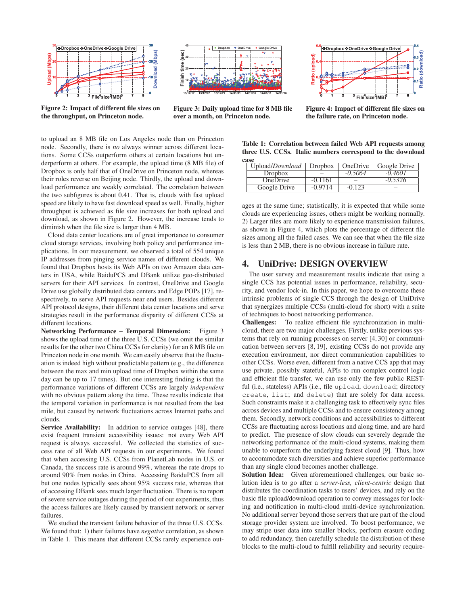

Figure 2: Impact of different file sizes on the throughput, on Princeton node.



Figure 3: Daily upload time for 8 MB file over a month, on Princeton node.

**0.6 0.4 Dropbox OneDrive Google Drive Ratio (download) Ratio (upload)** upload) **0.3 0.4** aisso **0.2** Ratio ( **0.2** g **0.1 0 1 2 3 File**<sup>4</sup> **5 2e**<sup>6</sup> **6 1 8 6 0**

Figure 4: Impact of different file sizes on the failure rate, on Princeton node.

to upload an 8 MB file on Los Angeles node than on Princeton node. Secondly, there is *no* always winner across different locations. Some CCSs outperform others at certain locations but underperform at others. For example, the upload time (8 MB file) of Dropbox is only half that of OneDrive on Princeton node, whereas their roles reverse on Beijing node. Thirdly, the upload and download performance are weakly correlated. The correlation between the two subfigures is about 0.41. That is, clouds with fast upload speed are likely to have fast download speed as well. Finally, higher throughput is achieved as file size increases for both upload and download, as shown in Figure 2. However, the increase tends to diminish when the file size is larger than 4 MB.

Cloud data center locations are of great importance to consumer cloud storage services, involving both policy and performance implications. In our measurement, we observed a total of 554 unique IP addresses from pinging service names of different clouds. We found that Dropbox hosts its Web APIs on two Amazon data centers in USA, while BaiduPCS and DBank utilize geo-distributed servers for their API services. In contrast, OneDrive and Google Drive use globally distributed data centers and Edge POPs [17], respectively, to serve API requests near end users. Besides different API protocol designs, their different data center locations and serve strategies result in the performance disparity of different CCSs at different locations.

Networking Performance – Temporal Dimension: Figure 3 shows the upload time of the three U.S. CCSs (we omit the similar results for the other two China CCSs for clarity) for an 8 MB file on Princeton node in one month. We can easily observe that the fluctuation is indeed high without predictable pattern (e.g., the difference between the max and min upload time of Dropbox within the same day can be up to 17 times). But one interesting finding is that the performance variations of different CCSs are largely *independent* with no obvious pattern along the time. These results indicate that the temporal variation in performance is not resulted from the last mile, but caused by network fluctuations across Internet paths and clouds.

Service Availability: In addition to service outages [48], there exist frequent transient accessibility issues: not every Web API request is always successful. We collected the statistics of success rate of all Web API requests in our experiments. We found that when accessing U.S. CCSs from PlanetLab nodes in U.S. or Canada, the success rate is around 99%, whereas the rate drops to around 90% from nodes in China. Accessing BaiduPCS from all but one nodes typically sees about 95% success rate, whereas that of accessing DBank sees much larger fluctuation. There is no report of severe service outages during the period of our experiments, thus the access failures are likely caused by transient network or server failures.

We studied the transient failure behavior of the three U.S. CCSs. We found that: 1) their failures have *negative* correlation, as shown in Table 1. This means that different CCSs rarely experience out-

Table 1: Correlation between failed Web API requests among three U.S. CCSs. Italic numbers correspond to the download

| case |                 |           |           |              |  |  |  |
|------|-----------------|-----------|-----------|--------------|--|--|--|
|      | Upload/Download | Dropbox   | OneDrive  | Google Drive |  |  |  |
|      | <b>Dropbox</b>  |           | $-0.5064$ | $-0.4601$    |  |  |  |
|      | <b>OneDrive</b> | $-0.1161$ |           | $-0.5326$    |  |  |  |
|      | Google Drive    | $-0.9714$ | $-0.123$  |              |  |  |  |

ages at the same time; statistically, it is expected that while some clouds are experiencing issues, others might be working normally. 2) Larger files are more likely to experience transmission failures, as shown in Figure 4, which plots the percentage of different file sizes among all the failed cases. We can see that when the file size is less than 2 MB, there is no obvious increase in failure rate.

#### 4. UniDrive: DESIGN OVERVIEW

The user survey and measurement results indicate that using a single CCS has potential issues in performance, reliability, security, and vendor lock-in. In this paper, we hope to overcome these intrinsic problems of single CCS through the design of UniDrive that synergizes multiple CCSs (multi-cloud for short) with a suite of techniques to boost networking performance.

Challenges: To realize efficient file synchronization in multicloud, there are two major challenges. Firstly, unlike previous systems that rely on running processes on server [4, 30] or communication between servers [8, 19], existing CCSs do not provide any execution environment, nor direct communication capabilities to other CCSs. Worse even, different from a native CCS app that may use private, possibly stateful, APIs to run complex control logic and efficient file transfer, we can use only the few public RESTful (i.e., stateless) APIs (i.e., file upload, download; directory create, list; and delete) that are solely for data access. Such constraints make it a challenging task to effectively sync files across devices and multiple CCSs and to ensure consistency among them. Secondly, network conditions and accessibilities to different CCSs are fluctuating across locations and along time, and are hard to predict. The presence of slow clouds can severely degrade the networking performance of the multi-cloud systems, making them unable to outperform the underlying fastest cloud [9]. Thus, how to accommodate such diversities and achieve superior performance than any single cloud becomes another challenge.

Solution Idea: Given aforementioned challenges, our basic solution idea is to go after a *server-less, client-centric* design that distributes the coordination tasks to users' devices, and rely on the basic file upload/download operation to convey messages for locking and notification in multi-cloud multi-device synchronization. No additional server beyond those servers that are part of the cloud storage provider system are involved. To boost performance, we may stripe user data into smaller blocks, perform erasure coding to add redundancy, then carefully schedule the distribution of these blocks to the multi-cloud to fulfill reliability and security require-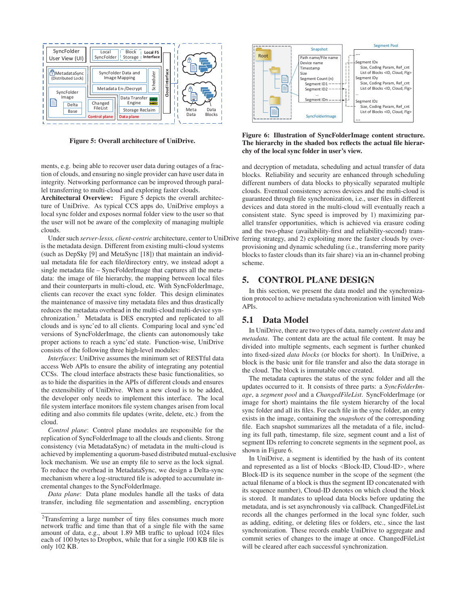

Figure 5: Overall architecture of UniDrive.

ments, e.g. being able to recover user data during outages of a fraction of clouds, and ensuring no single provider can have user data in integrity. Networking performance can be improved through parallel transferring to multi-cloud and exploring faster clouds.

Architectural Overview: Figure 5 depicts the overall architecture of UniDrive. As typical CCS apps do, UniDrive employs a local sync folder and exposes normal folder view to the user so that the user will not be aware of the complexity of managing multiple clouds.

Under such *server-lesss, client-centric* architecture, center to UniDrive is the metadata design. Different from existing multi-cloud systems (such as DepSky [9] and MetaSync [18]) that maintain an individual metadata file for each file/directory entry, we instead adopt a single metadata file – SyncFolderImage that captures all the metadata: the image of file hierarchy, the mapping between local files and their counterparts in multi-cloud, etc. With SyncFolderImage, clients can recover the exact sync folder. This design eliminates the maintenance of massive tiny metadata files and thus drastically reduces the metadata overhead in the multi-cloud multi-device synchronization.2 Metadata is DES encrypted and replicated to all clouds and is sync'ed to all clients. Comparing local and sync'ed versions of SyncFolderImage, the clients can autonomously take proper actions to reach a sync'ed state. Function-wise, UniDrive consists of the following three high-level modules:

*Interfaces*: UniDrive assumes the minimum set of RESTful data access Web APIs to ensure the ability of integrating any potential CCSs. The cloud interface abstracts these basic functionalities, so as to hide the disparities in the APIs of different clouds and ensures the extensibility of UniDrive. When a new cloud is to be added, the developer only needs to implement this interface. The local file system interface monitors file system changes arisen from local editing and also commits file updates (write, delete, etc.) from the cloud.

*Control plane*: Control plane modules are responsible for the replication of SyncFolderImage to all the clouds and clients. Strong consistency (via MetadataSync) of metadata in the multi-cloud is achieved by implementing a quorum-based distributed mutual-exclusive lock mechanism. We use an empty file to serve as the lock signal. To reduce the overhead in MetadataSync, we design a Delta-sync mechanism where a log-structured file is adopted to accumulate incremental changes to the SyncFolderImage.

*Data plane*: Data plane modules handle all the tasks of data transfer, including file segmentation and assembling, encryption



Figure 6: Illustration of SyncFolderImage content structure. The hierarchy in the shaded box reflects the actual file hierarchy of the local sync folder in user's view.

and decryption of metadata, scheduling and actual transfer of data blocks. Reliability and security are enhanced through scheduling different numbers of data blocks to physically separated multiple clouds. Eventual consistency across devices and the multi-cloud is guaranteed through file synchronization, i.e., user files in different devices and data stored in the multi-cloud will eventually reach a consistent state. Sync speed is improved by 1) maximizing parallel transfer opportunities, which is achieved via erasure coding and the two-phase (availability-first and reliability-second) transferring strategy, and 2) exploiting more the faster clouds by overprovisioning and dynamic scheduling (i.e., transferring more parity blocks to faster clouds than its fair share) via an in-channel probing scheme.

#### 5. CONTROL PLANE DESIGN

In this section, we present the data model and the synchronization protocol to achieve metadata synchronization with limited Web APIs.

## 5.1 Data Model

In UniDrive, there are two types of data, namely *content data* and *metadata*. The content data are the actual file content. It may be divided into multiple segments, each segment is further chunked into fixed-sized *data blocks* (or blocks for short). In UniDrive, a block is the basic unit for file transfer and also the data storage in the cloud. The block is immutable once created.

The metadata captures the status of the sync folder and all the updates occurred to it. It consists of three parts: a *SyncFolderImage*, a *segment pool* and a *ChangedFileList*. SyncFolderImage (or image for short) maintains the file system hierarchy of the local sync folder and all its files. For each file in the sync folder, an entry exists in the image, containing the *snapshots* of the corresponding file. Each snapshot summarizes all the metadata of a file, including its full path, timestamp, file size, segment count and a list of segment IDs referring to concrete segments in the segment pool, as shown in Figure 6.

In UniDrive, a segment is identified by the hash of its content and represented as a list of blocks <Block-ID, Cloud-ID>, where Block-ID is its sequence number in the scope of the segment (the actual filename of a block is thus the segment ID concatenated with its sequence number), Cloud-ID denotes on which cloud the block is stored. It mandates to upload data blocks before updating the metadata, and is set asynchronously via callback. ChangedFileList records all the changes performed in the local sync folder, such as adding, editing, or deleting files or folders, etc., since the last synchronization. These records enable UniDrive to aggregate and commit series of changes to the image at once. ChangedFileList will be cleared after each successful synchronization.

<sup>&</sup>lt;sup>2</sup>Transferring a large number of tiny files consumes much more network traffic and time than that of a single file with the same amount of data, e.g., about 1.89 MB traffic to upload 1024 files each of 100 bytes to Dropbox, while that for a single 100 KB file is only 102 KB.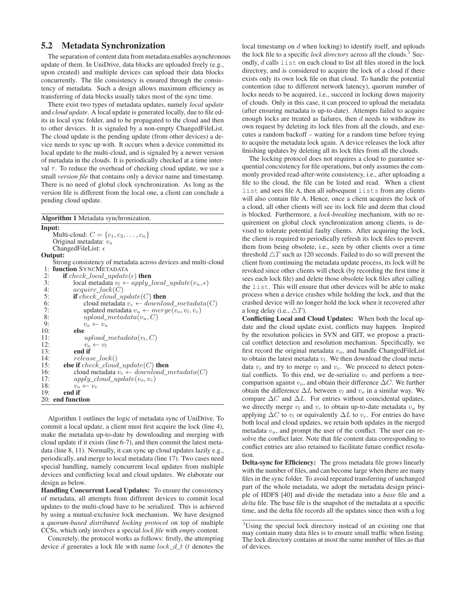#### 5.2 Metadata Synchronization

The separation of content data from metadata enables asynchronous update of them. In UniDrive, data blocks are uploaded freely (e.g., upon created) and multiple devices can upload their data blocks concurrently. The file consistency is ensured through the consistency of metadata. Such a design allows maximum efficiency as transferring of data blocks usually takes most of the sync time.

There exist two types of metadata updates, namely *local update* and *cloud update*. A local update is generated locally, due to file edits in local sync folder, and to be propagated to the cloud and then to other devices. It is signaled by a non-empty ChangedFileList. The cloud update is the pending update (from other devices) a device needs to sync up with. It occurs when a device committed its local update to the multi-cloud, and is signaled by a newer version of metadata in the clouds. It is periodically checked at a time interval  $\tau$ . To reduce the overhead of checking cloud update, we use a small *version file* that contains only a device name and timestamp. There is no need of global clock synchronization. As long as the version file is different from the local one, a client can conclude a pending cloud update.

| Algorithm 1 Metadata synchronization.                                     |
|---------------------------------------------------------------------------|
| Input:                                                                    |
| Multi-cloud: $C = \{c_1, c_2, \ldots, c_n\}$                              |
| Original metadata: $vo$                                                   |
| ChangedFileList: $\epsilon$                                               |
| Output:                                                                   |
| Strong consistency of metadata across devices and multi-cloud             |
| function SYNCMETADATA<br>1:                                               |
| <b>if</b> check_local_update( $\epsilon$ ) <b>then</b><br>2:              |
| 3:<br>local metadata $v_l \leftarrow apply\_local\_update(v_u, \epsilon)$ |
| $acquire\_lock(C)$<br>4:                                                  |
| 5:<br><b>if</b> check_cloud_update(C) <b>then</b>                         |
| 6:<br>cloud metadata $v_c \leftarrow download\_metadata(C)$               |
| 7:<br>updated metadata $v_u \leftarrow merge(v_o, v_l, v_c)$              |
| 8:<br>upload_metadata $(v_u, C)$                                          |
| 9:<br>$v_o \leftarrow v_u$                                                |
| 10:<br>else                                                               |
| upload_metadata $(v_l, C)$<br>11:                                         |
| 12:<br>$v_o \leftarrow v_l$                                               |
| 13:<br>end if                                                             |
| release lock()<br>14:                                                     |
| <b>else if</b> check_cloud_update(C) <b>then</b><br>15:                   |
| 16:<br>cloud metadata $v_c \leftarrow download\_metadata(C)$              |
| $apply\_cloud\_update(v_o, v_c)$<br>17:                                   |
| 18:<br>$v_o \leftarrow v_c$                                               |
| 19:<br>end if                                                             |
| 20: end function                                                          |
|                                                                           |

Algorithm 1 outlines the logic of metadata sync of UniDrive. To commit a local update, a client must first acquire the lock (line 4), make the metadata up-to-date by downloading and merging with cloud update if it exists (line 6-7), and then commit the latest metadata (line 8, 11). Normally, it can sync up cloud updates lazily e.g., periodically, and merge to local metadata (line 17). Two cases need special handling, namely concurrent local updates from multiple devices and conflicting local and cloud updates. We elaborate our design as below.

Handling Concurrent Local Updates: To ensure the consistency of metadata, all attempts from different devices to commit local updates to the multi-cloud have to be serialized. This is achieved by using a mutual-exclusive lock mechanism. We have designed a *quorum-based distributed locking protocol* on top of multiple CCSs, which only involves a special *lock file* with *empty* content.

Concretely, the protocol works as follows: firstly, the attempting device d generates a lock file with name  $lock\_d_t$  (t denotes the local timestamp on d when locking) to identify itself, and uploads the lock file to a specific *lock directory* across all the clouds.<sup>3</sup> Secondly, d calls list on each cloud to list all files stored in the lock directory, and is considered to acquire the lock of a cloud if there exists only its own lock file on that cloud. To handle the potential contention (due to different network latency), quorum number of locks needs to be acquired, i.e., succeed in locking down majority of clouds. Only in this case, it can proceed to upload the metadata (after ensuring metadata is up-to-date). Attempts failed to acquire enough locks are treated as failures, then  $d$  needs to withdraw its own request by deleting its lock files from all the clouds, and executes a random backoff – waiting for a random time before trying to acquire the metadata lock again. A device releases the lock after finishing updates by deleting all its lock files from all the clouds.

The locking protocol does not requires a cloud to guarantee sequential concsistency for file operations, but only assumes the commonly provided read-after-write consistency, i.e., after uploading a file to the cloud, the file can be listed and read. When a client list and sees file A, then all subsequent lists from any clients will also contain file A. Hence, once a client acquires the lock of a cloud, all other clients will see its lock file and deem that cloud is blocked. Furthermore, a *lock-breaking* mechanism, with no requirement on global clock synchronization among clients, is devised to tolerate potential faulty clients. After acquiring the lock, the client is required to periodically refresh its lock files to prevent them from being obsolete, i.e., seen by other clients over a time threshold  $\triangle T$  such as 120 seconds. Failed to do so will prevent the client from continuing the metadata update process, its lock will be revoked since other clients will check (by recording the first time it sees each lock file) and delete those obsolete lock files after calling the list. This will ensure that other devices will be able to make process when a device crashes while holding the lock, and that the crashed device will no longer hold the lock when it recovered after a long delay (i.e.,  $\triangle T$ ).

Conflicting Local and Cloud Updates: When both the local update and the cloud update exist, conflicts may happen. Inspired by the resolution policies in SVN and GIT, we propose a practical conflict detection and resolution mechanism. Specifically, we first record the original metadata v*o*, and handle ChangedFileList to obtain the latest metadata v*l*. We then download the cloud metadata  $v_c$  and try to merge  $v_l$  and  $v_c$ . We proceed to detect potential conflicts. To this end, we de-serialize  $v_c$  and perform a treecomparison against  $v<sub>o</sub>$ , and obtain their difference  $\Delta C$ . We further obtain the difference  $\Delta L$  between  $v_l$  and  $v_o$  in a similar way. We compare  $\Delta C$  and  $\Delta L$ . For entries without coincidental updates, we directly merge  $v_l$  and  $v_c$  to obtain up-to-date metadata  $v_u$  by applying  $\Delta C$  to  $v_l$  or equivalently  $\Delta L$  to  $v_c$ . For entries do have both local and cloud updates, we retain both updates in the merged metadata v*u*, and prompt the user of the conflict. The user can resolve the conflict later. Note that file content data corresponding to conflict entries are also retained to facilitate future conflict resolution.

Delta-sync for Efficiency: The gross metadata file grows linearly with the number of files, and can become large when there are many files in the sync folder. To avoid repeated transferring of unchanged part of the whole metadata, we adopt the metadata design principle of HDFS [40] and divide the metadata into a *base* file and a *delta* file. The base file is the snapshot of the metadata at a specific time, and the delta file records all the updates since then with a log

<sup>&</sup>lt;sup>3</sup>Using the special lock directory instead of an existing one that may contain many data files is to ensure small traffic when listing. The lock directory contains at most the same number of files as that of devices.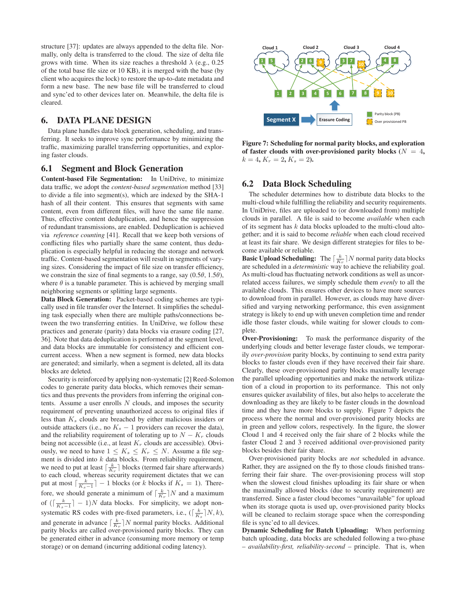structure [37]: updates are always appended to the delta file. Normally, only delta is transferred to the cloud. The size of delta file grows with time. When its size reaches a threshold  $\lambda$  (e.g., 0.25) of the total base file size or 10 KB), it is merged with the base (by client who acquires the lock) to restore the up-to-date metadata and form a new base. The new base file will be transferred to cloud and sync'ed to other devices later on. Meanwhile, the delta file is cleared.

#### 6. DATA PLANE DESIGN

Data plane handles data block generation, scheduling, and transferring. It seeks to improve sync performance by minimizing the traffic, maximizing parallel transferring opportunities, and exploring faster clouds.

#### 6.1 Segment and Block Generation

Content-based File Segmentation: In UniDrive, to minimize data traffic, we adopt the *content-based segmentation* method [33] to divide a file into segment(s), which are indexed by the SHA-1 hash of all their content. This ensures that segments with same content, even from different files, will have the same file name. Thus, effective content deduplication, and hence the suppression of redundant transmissions, are enabled. Deduplication is achieved via *reference counting* [41]. Recall that we keep both versions of conflicting files who partially share the same content, thus deduplication is especially helpful in reducing the storage and network traffic. Content-based segmentation will result in segments of varying sizes. Considering the impact of file size on transfer efficiency, we constrain the size of final segments to a range, say  $(0.5\theta, 1.5\theta)$ , where  $\theta$  is a tunable parameter. This is achieved by merging small neighboring segments or splitting large segments.

Data Block Generation: Packet-based coding schemes are typically used in file transfer over the Internet. It simplifies the scheduling task especially when there are multiple paths/connections between the two transferring entities. In UniDrive, we follow these practices and generate (parity) data blocks via erasure coding [27, 36]. Note that data deduplication is performed at the segment level, and data blocks are immutable for consistency and efficient concurrent access. When a new segment is formed, new data blocks are generated; and similarly, when a segment is deleted, all its data blocks are deleted.

Security is reinforced by applying non-systematic [2] Reed-Solomon codes to generate parity data blocks, which removes their semantics and thus prevents the providers from inferring the original contents. Assume a user enrolls  $N$  clouds, and imposes the security requirement of preventing unauthorized access to original files if less than K*<sup>s</sup>* clouds are breached by either malicious insiders or outside attackers (i.e., no  $K_s - 1$  providers can recover the data), and the reliability requirement of tolerating up to  $N - K_r$  clouds being not accessible (i.e., at least K*<sup>r</sup>* clouds are accessible). Obviously, we need to have  $1 \leq K_s \leq K_r \leq N$ . Assume a file segment is divided into  $k$  data blocks. From reliability requirement, we need to put at least  $\lceil \frac{k}{K_r} \rceil$  blocks (termed fair share afterwards) to each cloud, whereas security requirement dictates that we can put at most  $\lceil \frac{k}{K_s-1} \rceil - 1$  blocks (or k blocks if  $K_s = 1$ ). Therefore, we should generate a minimum of  $\lceil \frac{k}{K_r} \rceil N$  and a maximum of  $(\lceil \frac{k}{K_s-1} \rceil - 1)N$  data blocks. For simplicity, we adopt nonsystematic RS codes with pre-fixed parameters, i.e.,  $(\left\lceil \frac{k}{K_s} \right\rceil N, k)$ , and generate in advance  $\left[\frac{k}{K_r}\right]N$  normal parity blocks. Additional parity blocks are called over-provisioned parity blocks. They can be generated either in advance (consuming more memory or temp storage) or on demand (incurring additional coding latency).



Figure 7: Scheduling for normal parity blocks, and exploration of faster clouds with over-provisioned parity blocks ( $N = 4$ ,  $k = 4, K_r = 2, K_s = 2$ .

#### 6.2 Data Block Scheduling

The scheduler determines how to distribute data blocks to the multi-cloud while fulfilling the reliability and security requirements. In UniDrive, files are uploaded to (or downloaded from) multiple clouds in parallel. A file is said to become *available* when each of its segment has  $k$  data blocks uploaded to the multi-cloud altogether; and it is said to become *reliable* when each cloud received at least its fair share. We design different strategies for files to become available or reliable.

**Basic Upload Scheduling:** The  $\lceil \frac{k}{K_r} \rceil N$  normal parity data blocks are scheduled in a *deterministic* way to achieve the reliability goal. As multi-cloud has fluctuating network conditions as well as uncorrelated access failures, we simply schedule them *evenly* to all the available clouds. This ensures other devices to have more sources to download from in parallel. However, as clouds may have diversified and varying networking performance, this even assignment strategy is likely to end up with uneven completion time and render idle those faster clouds, while waiting for slower clouds to complete.

Over-Provisioning: To mask the performance disparity of the underlying clouds and better leverage faster clouds, we temporarily *over-provision* parity blocks, by continuing to send extra parity blocks to faster clouds even if they have received their fair share. Clearly, these over-provisioned parity blocks maximally leverage the parallel uploading opportunities and make the network utilization of a cloud in proportion to its performance. This not only ensures quicker availability of files, but also helps to accelerate the downloading as they are likely to be faster clouds in the download time and they have more blocks to supply. Figure 7 depicts the process where the normal and over-provisioned parity blocks are in green and yellow colors, respectively. In the figure, the slower Cloud 1 and 4 received only the fair share of 2 blocks while the faster Cloud 2 and 3 received additional over-provisioned parity blocks besides their fair share.

Over-provisioned parity blocks are *not* scheduled in advance. Rather, they are assigned on the fly to those clouds finished transferring their fair share. The over-provisioning process will stop when the slowest cloud finishes uploading its fair share or when the maximally allowed blocks (due to security requirement) are transferred. Since a faster cloud becomes "unavailable" for upload when its storage quota is used up, over-provisioned parity blocks will be cleaned to reclaim storage space when the corresponding file is sync'ed to all devices.

Dynamic Scheduling for Batch Uploading: When performing batch uploading, data blocks are scheduled following a two-phase – *availability-first, reliability-second* – principle. That is, when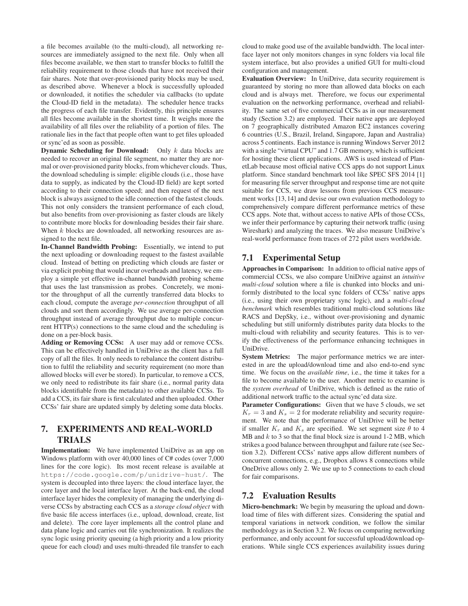a file becomes available (to the multi-cloud), all networking resources are immediately assigned to the next file. Only when all files become available, we then start to transfer blocks to fulfill the reliability requirement to those clouds that have not received their fair shares. Note that over-provisioned parity blocks may be used, as described above. Whenever a block is successfully uploaded or downloaded, it notifies the scheduler via callbacks (to update the Cloud-ID field in the metadata). The scheduler hence tracks the progress of each file transfer. Evidently, this principle ensures all files become available in the shortest time. It weighs more the availability of all files over the reliability of a portion of files. The rationale lies in the fact that people often want to get files uploaded or sync'ed as soon as possible.

**Dynamic Scheduling for Download:** Only  $k$  data blocks are needed to recover an original file segment, no matter they are normal or over-provisioned parity blocks, from whichever clouds. Thus, the download scheduling is simple: eligible clouds (i.e., those have data to supply, as indicated by the Cloud-ID field) are kept sorted according to their connection speed; and then request of the next block is always assigned to the idle connection of the fastest clouds. This not only considers the transient performance of each cloud, but also benefits from over-provisioning as faster clouds are likely to contribute more blocks for downloading besides their fair share. When  $k$  blocks are downloaded, all networking resources are assigned to the next file.

In-Channel Bandwidth Probing: Essentially, we intend to put the next uploading or downloading request to the fastest available cloud. Instead of betting on predicting which clouds are faster or via explicit probing that would incur overheads and latency, we employ a simple yet effective in-channel bandwidth probing scheme that uses the last transmission as probes. Concretely, we monitor the throughput of all the currently transferred data blocks to each cloud, compute the average *per-connection* throughput of all clouds and sort them accordingly. We use average per-connection throughput instead of average throughput due to multiple concurrent HTTP(s) connections to the same cloud and the scheduling is done on a per-block basis.

Adding or Removing CCSs: A user may add or remove CCSs. This can be effectively handled in UniDrive as the client has a full copy of all the files. It only needs to rebalance the content distribution to fulfil the reliability and security requirement (no more than allowed blocks will ever be stored). In particular, to remove a CCS, we only need to redistribute its fair share (i.e., normal parity data blocks identifiable from the metadata) to other available CCSs. To add a CCS, its fair share is first calculated and then uploaded. Other CCSs' fair share are updated simply by deleting some data blocks.

# 7. EXPERIMENTS AND REAL-WORLD TRIALS

Implementation: We have implemented UniDrive as an app on Windows platform with over 40,000 lines of C# codes (over 7,000 lines for the core logic). Its most recent release is available at https://code.google.com/p/unidrive-hust/. The system is decoupled into three layers: the cloud interface layer, the core layer and the local interface layer. At the back-end, the cloud interface layer hides the complexity of managing the underlying diverse CCSs by abstracting each CCS as a *storage cloud object* with five basic file access interfaces (i.e., upload, download, create, list and delete). The core layer implements all the control plane and data plane logic and carries out file synchronization. It realizes the sync logic using priority queuing (a high priority and a low priority queue for each cloud) and uses multi-threaded file transfer to each cloud to make good use of the available bandwidth. The local interface layer not only monitors changes in sync folders via local file system interface, but also provides a unified GUI for multi-cloud configuration and management.

Evaluation Overview: In UniDrive, data security requirement is guaranteed by storing no more than allowed data blocks on each cloud and is always met. Therefore, we focus our experimental evaluation on the networking performance, overhead and reliability. The same set of five commercial CCSs as in our measurement study (Section 3.2) are employed. Their native apps are deployed on 7 geographically distributed Amazon EC2 instances covering 6 countries (U.S., Brazil, Ireland, Singapore, Japan and Australia) across 5 continents. Each instance is running Windows Server 2012 with a single "virtual CPU" and 1.7 GB memory, which is sufficient for hosting these client applications. AWS is used instead of PlanetLab because most official native CCS apps do not support Linux platform. Since standard benchmark tool like SPEC SFS 2014 [1] for measuring file server throughput and response time are not quite suitable for CCS, we draw lessons from previous CCS measurement works [13,14] and devise our own evaluation methodology to comprehensively compare different performance metrics of these CCS apps. Note that, without access to native APIs of those CCSs, we infer their performance by capturing their network traffic (using Wireshark) and analyzing the traces. We also measure UniDrive's real-world performance from traces of 272 pilot users worldwide.

# 7.1 Experimental Setup

Approaches in Comparison: In addition to official native apps of commercial CCSs, we also compare UniDrive against an *intuitive multi-cloud* solution where a file is chunked into blocks and uniformly distributed to the local sync folders of CCSs' native apps (i.e., using their own proprietary sync logic), and a *multi-cloud benchmark* which resembles traditional multi-cloud solutions like RACS and DepSky, i.e., without over-provisioning and dynamic scheduling but still uniformly distributes parity data blocks to the multi-cloud with reliability and security features. This is to verify the effectiveness of the performance enhancing techniques in UniDrive.

System Metrics: The major performance metrics we are interested in are the upload/download time and also end-to-end sync time. We focus on the *available time*, i.e., the time it takes for a file to become available to the user. Another metric to examine is the *system overhead* of UniDrive, which is defined as the ratio of additional network traffic to the actual sync'ed data size.

Parameter Configurations: Given that we have 5 clouds, we set  $K_r = 3$  and  $K_s = 2$  for moderate reliability and security requirement. We note that the performance of UniDrive will be better if smaller  $K_r$  and  $K_s$  are specified. We set segment size  $\theta$  to 4  $MB$  and  $k$  to 3 so that the final block size is around 1-2 MB, which strikes a good balance between throughput and failure rate (see Section 3.2). Different CCSs' native apps allow different numbers of concurrent connections, e.g., Dropbox allows 8 connections while OneDrive allows only 2. We use up to 5 connections to each cloud for fair comparisons.

# 7.2 Evaluation Results

Micro-benchmark: We begin by measuring the upload and download time of files with different sizes. Considering the spatial and temporal variations in network condition, we follow the similar methodology as in Section 3.2. We focus on comparing networking performance, and only account for successful upload/download operations. While single CCS experiences availability issues during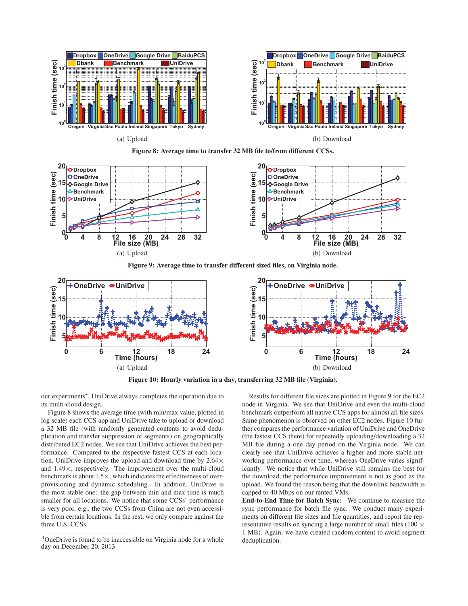



Figure 9: Average time to transfer different sized files, on Virginia node.



Figure 10: Hourly variation in a day, transferring 32 MB file (Virginia).

our experiments<sup>4</sup>, UniDrive always completes the operation due to its multi-cloud design.

Figure 8 shows the average time (with min/max value, plotted in log scale) each CCS app and UniDrive take to upload or download a 32 MB file (with randomly generated contents to avoid deduplication and transfer suppression of segments) on geographically distributed EC2 nodes. We see that UniDrive achieves the best performance. Compared to the respective fastest CCS at each location, UniDrive improves the upload and download time by  $2.64 \times$ and 1.49×, respectively. The improvement over the multi-cloud benchmark is about 1.5×, which indicates the effectiveness of overprovisioning and dynamic scheduling. In addition, UniDrive is the most stable one: the gap between min and max time is much smaller for all locations. We notice that some CCSs' performance is very poor, e.g., the two CCSs from China are not even accessible from certain locations. In the rest, we only compare against the three U.S. CCSs.

Results for different file sizes are plotted in Figure 9 for the EC2 node in Virginia. We see that UniDrive and even the multi-cloud benchmark outperform all native CCS apps for almost all file sizes. Same phenomenon is observed on other EC2 nodes. Figure 10 further compares the performance variation of UniDrive and OneDrive (the fastest CCS there) for repeatedly uploading/downloading a 32 MB file during a one day period on the Virginia node. We can clearly see that UniDrive achieves a higher and more stable networking performance over time, whereas OneDrive varies significantly. We notice that while UniDrive still remains the best for the download, the performance improvement is not as good as the upload. We found the reason being that the downlink bandwidth is capped to 40 Mbps on our rented VMs.

End-to-End Time for Batch Sync: We continue to measure the sync performance for batch file sync. We conduct many experiments on different file sizes and file quantities, and report the representative results on syncing a large number of small files (100  $\times$ 1 MB). Again, we have created random content to avoid segment deduplication.

<sup>&</sup>lt;sup>4</sup>OneDrive is found to be inaccessible on Virginia node for a whole day on December 20, 2013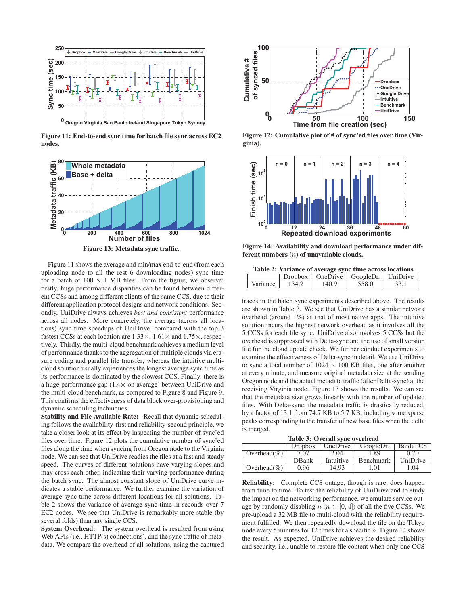

Figure 11: End-to-end sync time for batch file sync across EC2 nodes.



Figure 11 shows the average and min/max end-to-end (from each uploading node to all the rest 6 downloading nodes) sync time for a batch of  $100 \times 1$  MB files. From the figure, we observe: firstly, huge performance disparities can be found between different CCSs and among different clients of the same CCS, due to their different application protocol designs and network conditions. Secondly, UniDrive always achieves *best and consistent* performance across all nodes. More concretely, the average (across all locations) sync time speedups of UniDrive, compared with the top 3 fastest CCSs at each location are  $1.33 \times$ ,  $1.61 \times$  and  $1.75 \times$ , respectively. Thirdly, the multi-cloud benchmark achieves a medium level of performance thanks to the aggregation of multiple clouds via erasure coding and parallel file transfer; whereas the intuitive multicloud solution usually experiences the longest average sync time as its performance is dominated by the slowest CCS. Finally, there is a huge performance gap  $(1.4 \times$  on average) between UniDrive and the multi-cloud benchmark, as compared to Figure 8 and Figure 9. This confirms the effectiveness of data block over-provisioning and dynamic scheduling techniques.

Stability and File Available Rate: Recall that dynamic scheduling follows the availability-first and reliability-second principle, we take a closer look at its effect by inspecting the number of sync'ed files over time. Figure 12 plots the cumulative number of sync'ed files along the time when syncing from Oregon node to the Virginia node. We can see that UniDrive readies the files at a fast and steady speed. The curves of different solutions have varying slopes and may cross each other, indicating their varying performance during the batch sync. The almost constant slope of UniDrive curve indicates a stable performance. We further examine the variation of average sync time across different locations for all solutions. Table 2 shows the variance of average sync time in seconds over 7 EC2 nodes. We see that UniDrive is remarkably more stable (by several folds) than any single CCS.

System Overhead: The system overhead is resulted from using Web APIs (*i.e.*, HTTP(*s*) connections), and the sync traffic of metadata. We compare the overhead of all solutions, using the captured



Figure 12: Cumulative plot of # of sync'ed files over time (Virginia).



Figure 14: Availability and download performance under different numbers (n) of unavailable clouds.

| Table 2: Variance of average sync time across locations |                        |       |                                           |         |  |  |  |  |  |
|---------------------------------------------------------|------------------------|-------|-------------------------------------------|---------|--|--|--|--|--|
|                                                         |                        |       | Dropbox   OneDrive   GoogleDr.   UniDrive |         |  |  |  |  |  |
|                                                         | Variance $\vert$ 134.2 | 140.9 | $-558.0$                                  | $-33.1$ |  |  |  |  |  |

traces in the batch sync experiments described above. The results are shown in Table 3. We see that UniDrive has a similar network overhead (around 1%) as that of most native apps. The intuitive solution incurs the highest network overhead as it involves all the 5 CCSs for each file sync. UniDrive also involves 5 CCSs but the overhead is suppressed with Delta-sync and the use of small version file for the cloud update check. We further conduct experiments to examine the effectiveness of Delta-sync in detail. We use UniDrive to sync a total number of  $1024 \times 100$  KB files, one after another at every minute, and measure original metadata size at the sending Oregon node and the actual metadata traffic (after Delta-sync) at the receiving Virginia node. Figure 13 shows the results. We can see that the metadata size grows linearly with the number of updated files. With Delta-sync, the metadata traffic is drastically reduced, by a factor of 13.1 from 74.7 KB to 5.7 KB, including some sparse peaks corresponding to the transfer of new base files when the delta is merged.

Table 3: Overall sync overhead

| Tuble of Greating the Greating |                |           |                  |                 |  |  |  |  |
|--------------------------------|----------------|-----------|------------------|-----------------|--|--|--|--|
|                                | <b>Dropbox</b> | OneDrive  | GoogleDr.        | <b>BaiduPCS</b> |  |  |  |  |
| Overhead $(\% )$               | 7.07           | 2.04      | .89              | 0. 70           |  |  |  |  |
|                                | <b>DBank</b>   | Intuitive | <b>Benchmark</b> | <b>UniDrive</b> |  |  |  |  |
| Overhead $\%$                  | 0.96           | 14.93     |                  | 04              |  |  |  |  |

Reliability: Complete CCS outage, though is rare, does happen from time to time. To test the reliability of UniDrive and to study the impact on the networking performance, we emulate service outage by randomly disabling  $n (n \in [0, 4])$  of all the five CCSs. We pre-upload a 32 MB file to multi-cloud with the reliability requirement fulfilled. We then repeatedly download the file on the Tokyo node every 5 minutes for 12 times for a specific  $n$ . Figure 14 shows the result. As expected, UniDrive achieves the desired reliability and security, i.e., unable to restore file content when only one CCS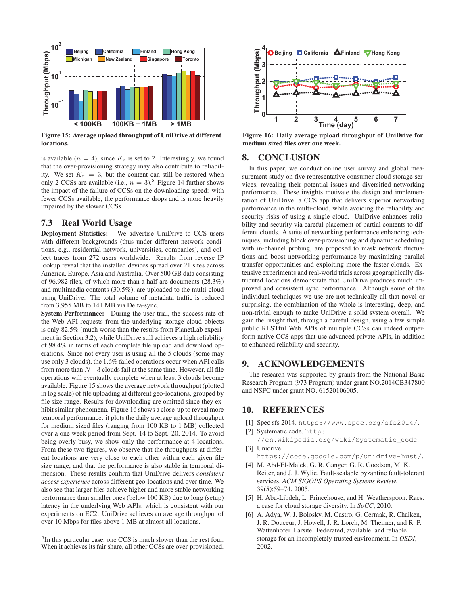

Figure 15: Average upload throughput of UniDrive at different locations.

is available  $(n = 4)$ , since  $K_s$  is set to 2. Interestingly, we found that the over-provisioning strategy may also contribute to reliability. We set  $K_r = 3$ , but the content can still be restored when only 2 CCSs are available (i.e.,  $n = 3$ ).<sup>5</sup> Figure 14 further shows the impact of the failure of CCSs on the downloading speed: with fewer CCSs available, the performance drops and is more heavily impaired by the slower CCSs.

# 7.3 Real World Usage

Deployment Statistics: We advertise UniDrive to CCS users with different backgrounds (thus under different network conditions, e.g., residential network, universities, companies), and collect traces from 272 users worldwide. Results from reverse IP lookup reveal that the installed devices spread over 21 sites across America, Europe, Asia and Australia. Over 500 GB data consisting of 96,982 files, of which more than a half are documents (28.3%) and multimedia contents (30.5%), are uploaded to the multi-cloud using UniDrive. The total volume of metadata traffic is reduced from 3,955 MB to 141 MB via Delta-sync.

System Performance: During the user trial, the success rate of the Web API requests from the underlying storage cloud objects is only 82.5% (much worse than the results from PlanetLab experiment in Section 3.2), while UniDrive still achieves a high reliability of 98.4% in terms of each complete file upload and download operations. Since not every user is using all the 5 clouds (some may use only 3 clouds), the 1.6% failed operations occur when API calls from more than  $N-3$  clouds fail at the same time. However, all file operations will eventually complete when at least 3 clouds become available. Figure 15 shows the average network throughput (plotted in log scale) of file uploading at different geo-locations, grouped by file size range. Results for downloading are omitted since they exhibit similar phenomena. Figure 16 shows a close-up to reveal more temporal performance: it plots the daily average upload throughput for medium sized files (ranging from 100 KB to 1 MB) collected over a one week period from Sept. 14 to Sept. 20, 2014. To avoid being overly busy, we show only the performance at 4 locations. From these two figures, we observe that the throughputs at different locations are very close to each other within each given file size range, and that the performance is also stable in temporal dimension. These results confirm that UniDrive delivers *consistent access experience* across different geo-locations and over time. We also see that larger files achieve higher and more stable networking performance than smaller ones (below 100 KB) due to long (setup) latency in the underlying Web APIs, which is consistent with our experiments on EC2. UniDrive achieves an average throughput of over 10 Mbps for files above 1 MB at almost all locations.



Figure 16: Daily average upload throughput of UniDrive for medium sized files over one week.

#### 8. CONCLUSION

In this paper, we conduct online user survey and global measurement study on five representative consumer cloud storage services, revealing their potential issues and diversified networking performance. These insights motivate the design and implementation of UniDrive, a CCS app that delivers superior networking performance in the multi-cloud, while avoiding the reliability and security risks of using a single cloud. UniDrive enhances reliability and security via careful placement of partial contents to different clouds. A suite of networking performance enhancing techniques, including block over-provisioning and dynamic scheduling with in-channel probing, are proposed to mask network fluctuations and boost networking performance by maximizing parallel transfer opportunities and exploiting more the faster clouds. Extensive experiments and real-world trials across geographically distributed locations demonstrate that UniDrive produces much improved and consistent sync performance. Although some of the individual techniques we use are not technically all that novel or surprising, the combination of the whole is interesting, deep, and non-trivial enough to make UniDrive a solid system overall. We gain the insight that, through a careful design, using a few simple public RESTful Web APIs of multiple CCSs can indeed outperform native CCS apps that use advanced private APIs, in addition to enhanced reliability and security.

#### 9. ACKNOWLEDGEMENTS

The research was supported by grants from the National Basic Research Program (973 Program) under grant NO.2014CB347800 and NSFC under grant NO. 61520106005.

#### 10. REFERENCES

- [1] Spec sfs 2014. https://www.spec.org/sfs2014/.
- [2] Systematic code. http:
- //en.wikipedia.org/wiki/Systematic\_code. [3] Unidrive.
- https://code.google.com/p/unidrive-hust/. [4] M. Abd-El-Malek, G. R. Ganger, G. R. Goodson, M. K.
- Reiter, and J. J. Wylie. Fault-scalable byzantine fault-tolerant services. *ACM SIGOPS Operating Systems Review*, 39(5):59–74, 2005.
- [5] H. Abu-Libdeh, L. Princehouse, and H. Weatherspoon. Racs: a case for cloud storage diversity. In *SoCC*, 2010.
- [6] A. Adya, W. J. Bolosky, M. Castro, G. Cermak, R. Chaiken, J. R. Douceur, J. Howell, J. R. Lorch, M. Theimer, and R. P. Wattenhofer. Farsite: Federated, available, and reliable storage for an incompletely trusted environment. In *OSDI*, 2002.

<sup>&</sup>lt;sup>5</sup>In this particular case, one CCS is much slower than the rest four. When it achieves its fair share, all other CCSs are over-provisioned.